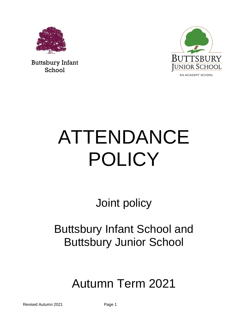

Buttsbury Infant School



# ATTENDANCE POLICY

Joint policy

Buttsbury Infant School and Buttsbury Junior School

# Autumn Term 2021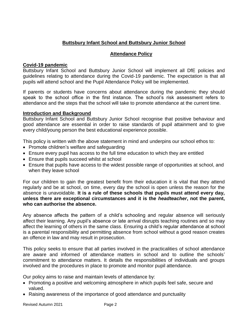# **Buttsbury Infant School and Buttsbury Junior School**

# **Attendance Policy**

# **Covid-19 pandemic**

Buttsbury Infant School and Buttsbury Junior School will implement all DfE policies and guidelines relating to attendance during the Covid-19 pandemic. The expectation is that all pupils will attend school and the Pupil Attendance Policy will be implemented.

If parents or students have concerns about attendance during the pandemic they should speak to the school office in the first instance. The school's risk assessment refers to attendance and the steps that the school will take to promote attendance at the current time.

# **Introduction and Background**

Buttsbury Infant School and Buttsbury Junior School recognise that positive behaviour and good attendance are essential in order to raise standards of pupil attainment and to give every child/young person the best educational experience possible.

This policy is written with the above statement in mind and underpins our school ethos to:

- Promote children's welfare and safeguarding
- Ensure every pupil has access to the full time education to which they are entitled
- Ensure that pupils succeed whilst at school
- Ensure that pupils have access to the widest possible range of opportunities at school, and when they leave school

For our children to gain the greatest benefit from their education it is vital that they attend regularly and be at school, on time, every day the school is open unless the reason for the absence is unavoidable. **It is a rule of these schools that pupils must attend every day, unless there are exceptional circumstances and it is the** *headteacher***, not the parent, who can authorise the absence.**

Any absence affects the pattern of a child's schooling and regular absence will seriously affect their learning. Any pupil's absence or late arrival disrupts teaching routines and so may affect the learning of others in the same class. Ensuring a child's regular attendance at school is a parental responsibility and permitting absence from school without a good reason creates an offence in law and may result in prosecution.

This policy seeks to ensure that all parties involved in the practicalities of school attendance are aware and informed of attendance matters in school and to outline the schools' commitment to attendance matters. It details the responsibilities of individuals and groups involved and the procedures in place to promote and monitor pupil attendance.

Our policy aims to raise and maintain levels of attendance by:

- Promoting a positive and welcoming atmosphere in which pupils feel safe, secure and valued.
- Raising awareness of the importance of good attendance and punctuality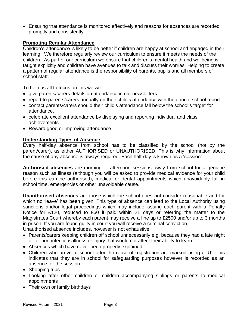• Ensuring that attendance is monitored effectively and reasons for absences are recorded promptly and consistently.

# **Promoting Regular Attendance**

Children's attendance is likely to be better if children are happy at school and engaged in their learning. We therefore regularly review our curriculum to ensure it meets the needs of the children. As part of our curriculum we ensure that children's mental health and wellbeing is taught explicitly and children have avenues to talk and discuss their worries. Helping to create a pattern of regular attendance is the responsibility of parents, pupils and all members of school staff.

To help us all to focus on this we will:

- give parents/carers details on attendance in our newsletters
- report to parents/carers annually on their child's attendance with the annual school report.
- contact parents/carers should their child's attendance fall below the school's target for attendance.
- celebrate excellent attendance by displaying and reporting individual and class achievements
- Reward good or improving attendance

# **Understanding Types of Absence**

Every half-day absence from school has to be classified by the school (not by the parent/carer), as either AUTHORISED or UNAUTHORISED. This is why information about the cause of any absence is always required. Each half-day is known as a 'session'

**Authorised absences** are morning or afternoon sessions away from school for a genuine reason such as illness (although you will be asked to provide medical evidence for your child before this can be authorised), medical or dental appointments which unavoidably fall in school time, emergencies or other unavoidable cause.

**Unauthorised absences** are those which the school does not consider reasonable and for which no 'leave' has been given. This type of absence can lead to the Local Authority using sanctions and/or legal proceedings which may include issuing each parent with a Penalty Notice for £120, reduced to £60 if paid within 21 days or referring the matter to the Magistrates Court whereby each parent may receive a fine up to £2500 and/or up to 3 months in prison. If you are found guilty in court you will receive a criminal conviction.

Unauthorised absence includes, however is not exhaustive:

- Parents/carers keeping children off school unnecessarily e.g. because they had a late night or for non-infectious illness or injury that would not affect their ability to learn.
- Absences which have never been properly explained
- Children who arrive at school after the close of registration are marked using a 'U'. This indicates that they are in school for safeguarding purposes however is recorded as an absence for the session.
- Shopping trips
- Looking after other children or children accompanying siblings or parents to medical appointments
- Their own or family birthdays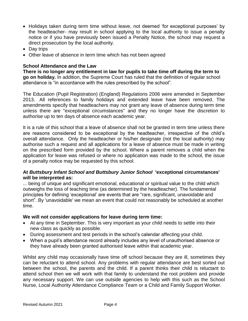- Holidays taken during term time without leave, not deemed 'for exceptional purposes' by the headteacher- may result in school applying to the local authority to issue a penalty notice or if you have previously been issued a Penalty Notice, the school may request a direct prosecution by the local authority.
- Day trips
- Other leave of absence in term time which has not been agreed

# **School Attendance and the Law**

**There is no longer any entitlement in law for pupils to take time off during the term to go on holiday.** In addition, the Supreme Court has ruled that the definition of regular school attendance is "in accordance with the rules prescribed by the school".

The Education (Pupil Registration) (England) Regulations 2006 were amended in September 2013. All references to family holidays and extended leave have been removed. The amendments specify that headteachers may not grant any leave of absence during term time unless there are "exceptional circumstances" and they no longer have the discretion to authorise up to ten days of absence each academic year.

It is a rule of this school that a leave of absence shall not be granted in term time unless there are reasons considered to be exceptional by the headteacher, irrespective of the child's overall attendance. Only the headteacher or his/her designate (not the local authority) may authorise such a request and all applications for a leave of absence must be made in writing on the prescribed form provided by the school. Where a parent removes a child when the application for leave was refused or where no application was made to the school, the issue of a penalty notice may be requested by this school.

# **At** *Buttsbury Infant School and Buttsbury Junior School* **'exceptional circumstances' will be interpreted as:**

... being of unique and significant emotional, educational or spiritual value to the child which outweighs the loss of teaching time (as determined by the headteacher). The fundamental principles for defining 'exceptional' are events that are "rare, significant, unavoidable and short". By 'unavoidable' we mean an event that could not reasonably be scheduled at another time.

# **We will not consider applications for leave during term time:**

- At any time in September. This is very important as your child needs to settle into their new class as quickly as possible.
- During assessment and test periods in the school's calendar affecting your child.
- When a pupil's attendance record already includes any level of unauthorised absence or they have already been granted authorised leave within that academic year.

Whilst any child may occasionally have time off school because they are ill, sometimes they can be reluctant to attend school. Any problems with regular attendance are best sorted out between the school, the parents and the child. If a parent thinks their child is reluctant to attend school then we will work with that family to understand the root problem and provide any necessary support. We can use outside agencies to help with this such as the School Nurse, Local Authority Attendance Compliance Team or a Child and Family Support Worker.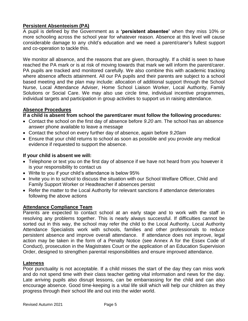# **Persistent Absenteeism (PA)**

A pupil is defined by the Government as a **'persistent absentee'** when they miss 10% or more schooling across the school year for whatever reason. Absence at this level will cause considerable damage to any child's education and we need a parent/carer's fullest support and co-operation to tackle this.

We monitor all absence, and the reasons that are given, thoroughly. If a child is seen to have reached the PA mark or is at risk of moving towards that mark we will inform the parent/carer. PA pupils are tracked and monitored carefully. We also combine this with academic tracking where absence affects attainment. All our PA pupils and their parents are subject to a school based meeting and the plan may include: allocation of additional support through the School Nurse, Local Attendance Adviser, Home School Liaison Worker, Local Authority, Family Solutions or Social Care. We may also use circle time, individual incentive programmes, individual targets and participation in group activities to support us in raising attendance.

# **Absence Procedures**

# **If a child is absent from school the parent/carer must follow the following procedures:**

- Contact the school on the first day of absence before *9.20 am*. The school has an absence answer phone available to leave a message
- Contact the school on every further day of absence, again before *9.20am*
- Ensure that your child returns to school as soon as possible and you provide any medical evidence if requested to support the absence.

# **If your child is absent we will:**

- Telephone or text you on the first day of absence if we have not heard from you however it is your responsibility to contact us
- Write to you if your child's attendance is below 95%
- Invite you in to school to discuss the situation with our School Welfare Officer, Child and Family Support Worker or Headteacher if absences persist
- Refer the matter to the Local Authority for relevant sanctions if attendance deteriorates following the above actions

# **Attendance Compliance Team**

Parents are expected to contact school at an early stage and to work with the staff in resolving any problems together. This is nearly always successful. If difficulties cannot be sorted out in this way, the school may refer the child to the Local Authority. Local Authority Attendance Specialists work with schools, families and other professionals to reduce persistent absence and improve overall attendance. If attendance does not improve, legal action may be taken in the form of a Penalty Notice (see Annex A for the Essex Code of Conduct), prosecution in the Magistrates Court or the application of an Education Supervision Order, designed to strengthen parental responsibilities and ensure improved attendance.

# **Lateness**

Poor punctuality is not acceptable. If a child misses the start of the day they can miss work and do not spend time with their class teacher getting vital information and news for the day. Late arriving pupils also disrupt lessons, can be embarrassing for the child and can also encourage absence. Good time-keeping is a vital life skill which will help our children as they progress through their school life and out into the wider world.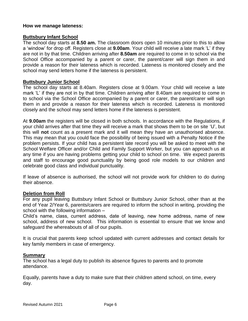## **How we manage lateness:**

## **Buttsbury Infant School**

The school day starts at **8.50 am.** The classroom doors open 10 minutes prior to this to allow a 'window' for drop off. Registers close at **9.00am**. Your child will receive a late mark 'L' if they are not in by that time. Children arriving after **8.50am** are required to come in to school via the School Office accompanied by a parent or carer, the parent/carer will sign them in and provide a reason for their lateness which is recorded. Lateness is monitored closely and the school may send letters home if the lateness is persistent.

# **Buttsbury Junior School**

The school day starts at 8.40am. Registers close at 9.00am. Your child will receive a late mark 'L' if they are not in by that time. Children arriving after 8.40am are required to come in to school via the School Office accompanied by a parent or carer, the parent/carer will sign them in and provide a reason for their lateness which is recorded. Lateness is monitored closely and the school may send letters home if the lateness is persistent.

At **9.00am** the registers will be closed in both schools. In accordance with the Regulations, if your child arrives after that time they will receive a mark that shows them to be on site 'U', but this will **not** count as a present mark and it will mean they have an unauthorised absence. This may mean that you could face the possibility of being issued with a Penalty Notice if the problem persists. If your child has a persistent late record you will be asked to meet with the School Welfare Officer and/or Child and Family Support Worker, but you can approach us at any time if you are having problems getting your child to school on time. We expect parents and staff to encourage good punctuality by being good role models to our children and celebrate good class and individual punctuality.

If leave of absence is authorised, the school will not provide work for children to do during their absence.

## **Deletion from Roll**

For any pupil leaving Buttsbury Infant School or Buttsbury Junior School, other than at the end of Year 2/Year 6, parents/carers are required to inform the school in writing, providing the school with the following information –

Child's name, class, current address, date of leaving, new home address, name of new school, address of new school. This information is essential to ensure that we know and safeguard the whereabouts of all of our pupils.

It is crucial that parents keep school updated with current addresses and contact details for key family members in case of emergency.

## **Summary**

The school has a legal duty to publish its absence figures to parents and to promote attendance.

Equally, parents have a duty to make sure that their children attend school, on time, every day.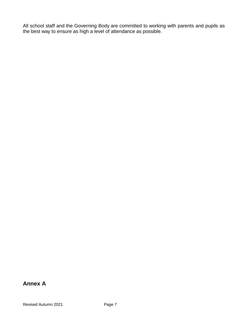All school staff and the Governing Body are committed to working with parents and pupils as the best way to ensure as high a level of attendance as possible.

# **Annex A**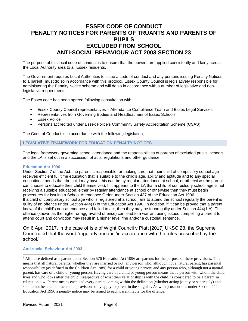# **ESSEX CODE OF CONDUCT PENALTY NOTICES FOR PARENTS OF TRUANTS AND PARENTS OF PUPILS EXCLUDED FROM SCHOOL ANTI-SOCIAL BEHAVIOUR ACT 2003 SECTION 23**

The purpose of this local code of conduct is to ensure that the powers are applied consistently and fairly across the Local Authority area to all Essex residents.

The Government requires Local Authorities to issue a code of conduct and any persons issuing Penalty Notices to a parent<sup>1</sup> must do so in accordance with this protocol. Essex County Council is legislatively responsible for administering the Penalty Notice scheme and will do so in accordance with a number of legislative and nonlegislative requirements.

The Essex code has been agreed following consultation with;

- Essex County Council representatives Attendance Compliance Team and Essex Legal Services.
- Representatives from Governing Bodies and Headteachers of Essex Schools
- Essex Police
- Persons accredited under Essex Police's Community Safety Accreditation Scheme (CSAS)

The Code of Conduct is in accordance with the following legislation;

#### **LEGISLATIVE FRAMEWORK FOR EDUCATION PENALTY NOTICES**

The legal framework governing school attendance and the responsibilities of parents of excluded pupils, schools and the LA is set out in a succession of acts, regulations and other guidance.

#### **Education Act 1996**

Under Section 7 of the Act: the parent is responsible for making sure that their child of compulsory school age receives efficient full time education that is suitable to the child's age, ability and aptitude and to any special educational needs that the child may have, this can be by regular attendance at school, or otherwise (the parent can choose to educate their child themselves). If it appears to the LA that a child of compulsory school age is not receiving a suitable education, either by regular attendance at school or otherwise then they must begin procedures for issuing a School Attendance Order under Section 437 of the Education Act 1996. If a child of compulsory school age who is registered at a school fails to attend the school regularly the parent is guilty of an offence under Section 444(1) of the Education Act 1996. In addition, if it can be proved that a parent knew of the child's non-attendance and failed to act, then they may be found guilty under Section 444(1 A). This offence (known as the higher or aggravated offence) can lead to a warrant being issued compelling a parent to attend court and conviction may result in a higher level fine and/or a custodial sentence.

## On 6 April 2017, in the case of Isle of Wight Council v Platt [2017] UKSC 28, the Supreme Court ruled that the word 'regularly' means 'in accordance with the rules prescribed by the school.'

#### **Anti-social Behaviour Act 2003**

 $\overline{a}$ 

<sup>&</sup>lt;sup>1</sup> All those defined as a parent under Section 576 Education Act 1996 are parents for the purpose of these provisions. This means that all natural parents, whether they are married or not; any person who, although not a natural parent, has parental responsibility (as defined in the Children Act 1989) for a child or young person; and any person who, although not a natural parent, has care of a child or young person. Having care of a child or young person means that a person with whom the child lives and who looks after the child, irrespective of what their relationship is with the child, is considered to be a parent in education law. Parent means each and every parent coming within the definition (whether acting jointly or separately) and should not be taken to mean that provisions only apply to parent in the singular. As with prosecutions under Section 444 Education Act 1996 a penalty notice may be issued to each parent liable for the offence.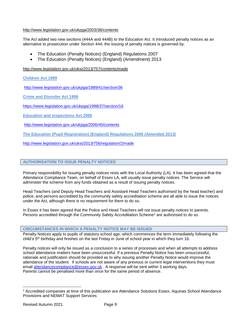#### <http://www.legislation.gov.uk/ukpga/2003/38/contents>

The Act added two new sections (444A and 444B) to the Education Act. It introduced penalty notices as an alternative to prosecution under Section 444; the issuing of penalty notices is governed by:

- The Education (Penalty Notices) (England) Regulations 2007
- The Education (Penalty Notices) (England) (Amendment) 2013

<http://www.legislation.gov.uk/uksi/2013/757/contents/made>

#### **Children Act 1989**

<http://www.legislation.gov.uk/ukpga/1989/41/section/36>

**Crime and Disorder Act 1998** 

<https://www.legislation.gov.uk/ukpga/1998/37/section/16>

**Education and Inspections Act 2006** 

<http://www.legislation.gov.uk/ukpga/2006/40/contents>

**The Education (Pupil Registration) (England) Regulations 2006 (Amended 2013)**

<http://www.legislation.gov.uk/uksi/2013/756/regulation/2/made>

#### **AUTHORISATION TO ISSUE PENALTY NOTICES**

Primary responsibility for issuing penalty notices rests with the Local Authority (LA). It has been agreed that the Attendance Compliance Team, on behalf of Essex LA, will usually issue penalty notices. The Service will administer the scheme from any funds obtained as a result of issuing penalty notices.

Head Teachers (and Deputy Head Teachers and Assistant Head Teachers authorised by the head teacher) and police, and persons accredited by the community safety accreditation scheme are all able to issue the notices under the Act, although there is no requirement for them to do so.

In Essex it has been agreed that the Police and Head Teachers will not issue penalty notices to parents. Persons accredited through the Community Safety Accreditation Scheme<sup>2</sup> are authorised to do so.

#### **CIRCUMSTANCES IN WHICH A PENALTY NOTICE MAY BE ISSUED**

Penalty Notices apply to pupils of statutory school age, which commences the term immediately following the child's 5<sup>th</sup> birthday and finishes on the last Friday in June of school year in which they turn 16.

Penalty notices will only be issued as a conclusion to a series of processes and when all attempts to address school attendance matters have been unsuccessful. If a previous Penalty Notice has been unsuccessful, rationale and justification should be provided as to why issuing another Penalty Notice would improve the attendance of the student. If schools are not aware of any previous or current legal interventions they must email [attendancecompliance@essex.gov.uk](mailto:attendancecompliance@essex.gov.uk) . A response will be sent within 3 working days. Parents cannot be penalised more than once for the same period of absence.

 $\overline{a}$ 

<sup>2</sup> Accredited companies at time of this publication are Attendance Solutions Essex, Aquinas School Attendance Provisions and NEMAT Support Services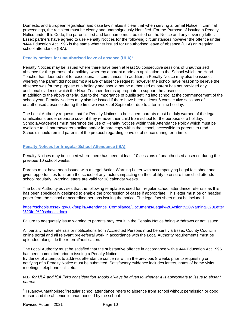Domestic and European legislation and case law makes it clear that when serving a formal Notice in criminal proceedings, the recipient must be clearly and unambiguously identified. For the Purpose of issuing a Penalty Notice under this Code, the parent's first and last name must be cited on the Notice and any covering letter. Essex partners have agreed to use Penalty Notices for the following circumstances however the offence under s444 Education Act 1996 is the same whether issued for unauthorised leave of absence (ULA) or irregular school attendance (ISA):

#### **Penalty notices for unauthorised leave of absence (ULA)<sup>3</sup>**

Penalty Notices may be issued where there have been at least 10 consecutive sessions of unauthorised absence for the purpose of a holiday, whereby a parent made an application to the School which the Head Teacher has deemed not for exceptional circumstances. In addition, a Penalty Notice may also be issued, whereby the parent did not submit a leave of absence request, however the school have reason to believe the absence was for the purpose of a holiday and should not be authorised as parent has not provided any additional evidence which the Head Teacher deems appropriate to support the absence. In addition to the above criteria, due to the importance of pupils settling into school at the commencement of the school year, Penalty Notices may also be issued if there have been at least 6 consecutive sessions of unauthorised absence during the first two weeks of September due to a term-time holiday.

The Local Authority requests that for Penalty Notices to be issued, parents must be duly warned of the legal ramifications under separate cover if they remove their child from school for the purpose of a holiday. Schools/Academies must reference the use of Penalty Notices within their Attendance Policy which must be available to all parents/carers online and/or in hard copy within the school, accessible to parents to read. Schools should remind parents of the protocol regarding leave of absence during term time.

#### **Penalty Notices for Irregular School Attendance (ISA)**

Penalty Notices may be issued where there has been at least 10 sessions of unauthorised absence during the previous 10 school weeks.

Parents must have been issued with a Legal Action Warning Letter with accompanying Legal fact sheet and given opportunities to inform the school of any factors impacting on their ability to ensure their child attends school regularly. Warning letters are valid for 18 calendar weeks.

The Local Authority advises that the following template is used for irregular school attendance referrals as this has been specifically designed to enable the progression of cases if appropriate. This letter must be on headed paper from the school or accredited persons issuing the notice. The legal fact sheet must be included

[https://schools.essex.gov.uk/pupils/Attendance\\_Compliance/Documents/Legal%20Action%20Warning%20Letter](https://schools.essex.gov.uk/pupils/Attendance_Compliance/Documents/Legal%20Action%20Warning%20Letter%20for%20schools.docx) [%20for%20schools.docx](https://schools.essex.gov.uk/pupils/Attendance_Compliance/Documents/Legal%20Action%20Warning%20Letter%20for%20schools.docx) .

Failure to adequately issue warning to parents may result in the Penalty Notice being withdrawn or not issued.

All penalty notice referrals or notifications from Accredited Persons must be sent via Essex County Council's online portal and all relevant pre-referral work in accordance with the Local Authority requirements must be uploaded alongside the referral/notification.

The Local Authority must be satisfied that the substantive offence in accordance with s.444 Education Act 1996 has been committed prior to issuing a Penalty Notice.

Evidence of attempts to address attendance concerns within the previous 8 weeks prior to requesting or notifying of a Penalty Notice must be submitted. Satisfactory evidence includes letters, notes of home visits, meetings, telephone calls etc.

N.B. *for ULA and ISA PN's consideration should always be given to whether it is appropriate to issue to absent parents.*

 $\overline{a}$ 

<sup>3</sup> Truancy/unauthorised/irregular school attendance refers to absence from school without permission or good reason and the absence is unauthorised by the school.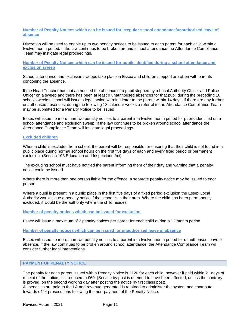#### **Number of Penalty Notices which can be issued for Irregular school attendance/unauthorised leave of absence**

Discretion will be used to enable up to two penalty notices to be issued to each parent for each child within a twelve month period. If the law continues to be broken around school attendance the Attendance Compliance Team may instigate legal proceedings.

**Number of Penalty Notices which can be issued for pupils identified during a school attendance and exclusion sweep** 

School attendance and exclusion sweeps take place in Essex and children stopped are often with parents condoning the absence.

If the Head Teacher has not authorised the absence of a pupil stopped by a Local Authority Officer and Police Officer on a sweep and there has been at least 9 unauthorised absences for that pupil during the preceding 10 schools weeks, school will issue a legal action warning letter to the parent within 14 days. If there are any further unauthorised absences, during the following 18 calendar weeks a referral to the Attendance Compliance Team may be submitted for a Penalty Notice to be issued.

Essex will issue no more than two penalty notices to a parent in a twelve month period for pupils identified on a school attendance and exclusion sweep. If the law continues to be broken around school attendance the Attendance Compliance Team will instigate legal proceedings.

#### **Excluded children**

When a child is excluded from school, the parent will be responsible for ensuring that their child is not found in a public place during normal school hours on the first five days of each and every fixed period or permanent exclusion. (Section 103 Education and Inspections Act)

The excluding school must have notified the parent informing them of their duty and warning that a penalty notice could be issued.

Where there is more than one person liable for the offence, a separate penalty notice may be issued to each person.

Where a pupil is present in a public place in the first five days of a fixed period exclusion the Essex Local Authority would issue a penalty notice if the school is in their area. Where the child has been permanently excluded, it would be the authority where the child resides.

**Number of penalty notices which can be issued for exclusion**

Essex will issue a maximum of 2 penalty notices per parent for each child during a 12 month period.

#### **Number of penalty notices which can be issued for unauthorised leave of absence**

Essex will issue no more than two penalty notices to a parent in a twelve month period for unauthorised leave of absence. If the law continues to be broken around school attendance, the Attendance Compliance Team will consider further legal interventions.

#### **PAYMENT OF PENALTY NOTICE**

The penalty for each parent issued with a Penalty Notice is £120 for each child, however if paid within 21 days of receipt of the notice, it is reduced to £60. (Service by post is deemed to have been effected, unless the contrary is proved, on the second working day after posting the notice by first class post).

All penalties are paid to the LA and revenue generated is retained to administer the system and contribute towards s444 prosecutions following the non-payment of the Penalty Notice.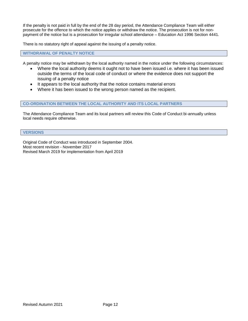If the penalty is not paid in full by the end of the 28 day period, the Attendance Compliance Team will either prosecute for the offence to which the notice applies or withdraw the notice. The prosecution is not for nonpayment of the notice but is a prosecution for irregular school attendance – Education Act 1996 Section 4441.

There is no statutory right of appeal against the issuing of a penalty notice.

#### **WITHDRAWAL OF PENALTY NOTICE**

A penalty notice may be withdrawn by the local authority named in the notice under the following circumstances:

- Where the local authority deems it ought not to have been issued i.e. where it has been issued outside the terms of the local code of conduct or where the evidence does not support the issuing of a penalty notice
- It appears to the local authority that the notice contains material errors
- Where it has been issued to the wrong person named as the recipient.

#### **CO-ORDINATION BETWEEN THE LOCAL AUTHORITY AND ITS LOCAL PARTNERS**

The Attendance Compliance Team and its local partners will review this Code of Conduct bi-annually unless local needs require otherwise.

#### **VERSIONS**

Original Code of Conduct was introduced in September 2004. Most recent revision - November 2017 Revised March 2019 for implementation from April 2019